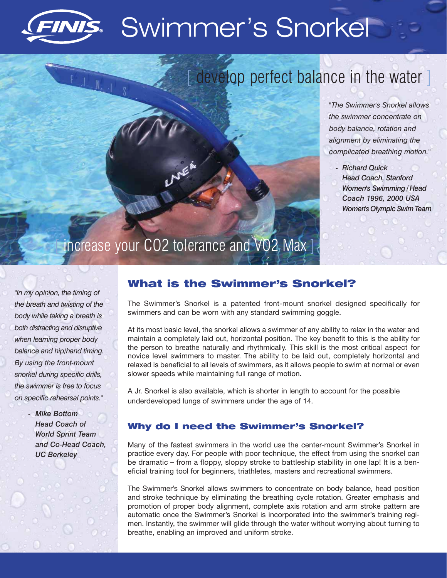

# Swimmer's Snorkel

# develop perfect balance in the water

*"The Swimmer's Snorkel allows the swimmer concentrate on body balance, rotation and alignment by eliminating the complicated breathing motion."*

*- Richard Quick Head Coach, Stanford Women's Swimming / Head Coach 1996, 2000 USA Women's Olympic Swim Team*

# increase your CO2 tolerance and VO2 Max 1

*"In my opinion, the timing of the breath and twisting of the body while taking a breath is both distracting and disruptive when learning proper body balance and hip/hand timing. By using the front-mount snorkel during specific drills, the swimmer is free to focus on specific rehearsal points."*

> *- Mike Bottom Head Coach of World Sprint Team and Co-Head Coach, UC Berkeley*

## **What is the Swimmer's Snorkel?**

The Swimmer's Snorkel is a patented front-mount snorkel designed specifically for swimmers and can be worn with any standard swimming goggle.

At its most basic level, the snorkel allows a swimmer of any ability to relax in the water and maintain a completely laid out, horizontal position. The key benefit to this is the ability for the person to breathe naturally and rhythmically. This skill is the most critical aspect for novice level swimmers to master. The ability to be laid out, completely horizontal and relaxed is beneficial to all levels of swimmers, as it allows people to swim at normal or even slower speeds while maintaining full range of motion.

A Jr. Snorkel is also available, which is shorter in length to account for the possible underdeveloped lungs of swimmers under the age of 14.

## **Why do I need the Swimmer's Snorkel?**

Many of the fastest swimmers in the world use the center-mount Swimmer's Snorkel in practice every day. For people with poor technique, the effect from using the snorkel can be dramatic – from a floppy, sloppy stroke to battleship stability in one lap! It is a beneficial training tool for beginners, triathletes, masters and recreational swimmers.

The Swimmer's Snorkel allows swimmers to concentrate on body balance, head position and stroke technique by eliminating the breathing cycle rotation. Greater emphasis and promotion of proper body alignment, complete axis rotation and arm stroke pattern are automatic once the Swimmer's Snorkel is incorporated into the swimmer's training regimen. Instantly, the swimmer will glide through the water without worrying about turning to breathe, enabling an improved and uniform stroke.